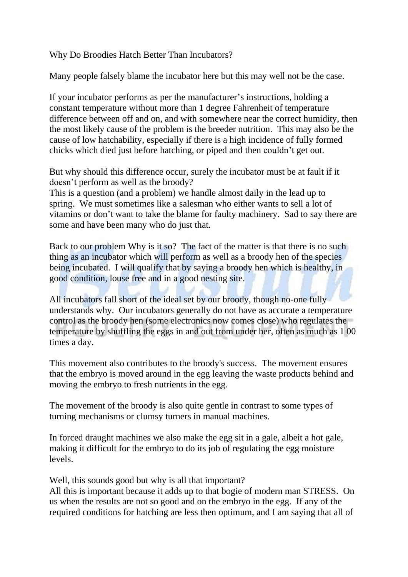Why Do Broodies Hatch Better Than Incubators?

Many people falsely blame the incubator here but this may well not be the case.

If your incubator performs as per the manufacturer's instructions, holding a constant temperature without more than 1 degree Fahrenheit of temperature difference between off and on, and with somewhere near the correct humidity, then the most likely cause of the problem is the breeder nutrition. This may also be the cause of low hatchability, especially if there is a high incidence of fully formed chicks which died just before hatching, or piped and then couldn't get out.

But why should this difference occur, surely the incubator must be at fault if it doesn't perform as well as the broody?

This is a question (and a problem) we handle almost daily in the lead up to spring. We must sometimes like a salesman who either wants to sell a lot of vitamins or don't want to take the blame for faulty machinery. Sad to say there are some and have been many who do just that.

Back to our problem Why is it so? The fact of the matter is that there is no such thing as an incubator which will perform as well as a broody hen of the species being incubated. I will qualify that by saying a broody hen which is healthy, in good condition, louse free and in a good nesting site.

All incubators fall short of the ideal set by our broody, though no-one fully understands why. Our incubators generally do not have as accurate a temperature control as the broody hen (some electronics now comes close) who regulates the temperature by shuffling the eggs in and out from under her, often as much as 1 00 times a day.

This movement also contributes to the broody's success. The movement ensures that the embryo is moved around in the egg leaving the waste products behind and moving the embryo to fresh nutrients in the egg.

The movement of the broody is also quite gentle in contrast to some types of turning mechanisms or clumsy turners in manual machines.

In forced draught machines we also make the egg sit in a gale, albeit a hot gale, making it difficult for the embryo to do its job of regulating the egg moisture levels.

Well, this sounds good but why is all that important?

All this is important because it adds up to that bogie of modern man STRESS. On us when the results are not so good and on the embryo in the egg. If any of the required conditions for hatching are less then optimum, and I am saying that all of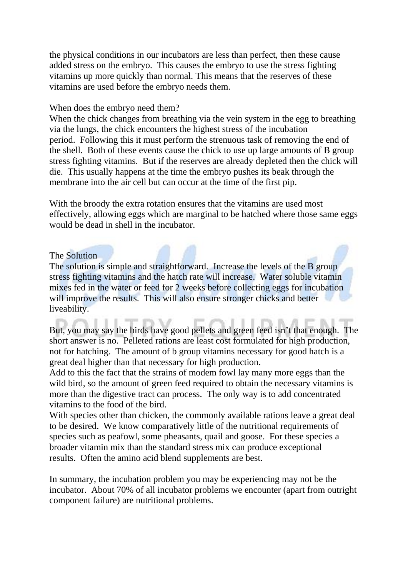the physical conditions in our incubators are less than perfect, then these cause added stress on the embryo. This causes the embryo to use the stress fighting vitamins up more quickly than normal. This means that the reserves of these vitamins are used before the embryo needs them.

## When does the embryo need them?

When the chick changes from breathing via the vein system in the egg to breathing via the lungs, the chick encounters the highest stress of the incubation period. Following this it must perform the strenuous task of removing the end of the shell. Both of these events cause the chick to use up large amounts of B group stress fighting vitamins. But if the reserves are already depleted then the chick will die. This usually happens at the time the embryo pushes its beak through the membrane into the air cell but can occur at the time of the first pip.

With the broody the extra rotation ensures that the vitamins are used most effectively, allowing eggs which are marginal to be hatched where those same eggs would be dead in shell in the incubator.

## The Solution

The solution is simple and straightforward. Increase the levels of the B group stress fighting vitamins and the hatch rate will increase. Water soluble vitamin mixes fed in the water or feed for 2 weeks before collecting eggs for incubation will improve the results. This will also ensure stronger chicks and better liveability.

But, you may say the birds have good pellets and green feed isn't that enough. The short answer is no. Pelleted rations are least cost formulated for high production, not for hatching. The amount of b group vitamins necessary for good hatch is a great deal higher than that necessary for high production.

Add to this the fact that the strains of modem fowl lay many more eggs than the wild bird, so the amount of green feed required to obtain the necessary vitamins is more than the digestive tract can process. The only way is to add concentrated vitamins to the food of the bird.

With species other than chicken, the commonly available rations leave a great deal to be desired. We know comparatively little of the nutritional requirements of species such as peafowl, some pheasants, quail and goose. For these species a broader vitamin mix than the standard stress mix can produce exceptional results. Often the amino acid blend supplements are best.

In summary, the incubation problem you may be experiencing may not be the incubator. About 70% of all incubator problems we encounter (apart from outright component failure) are nutritional problems.